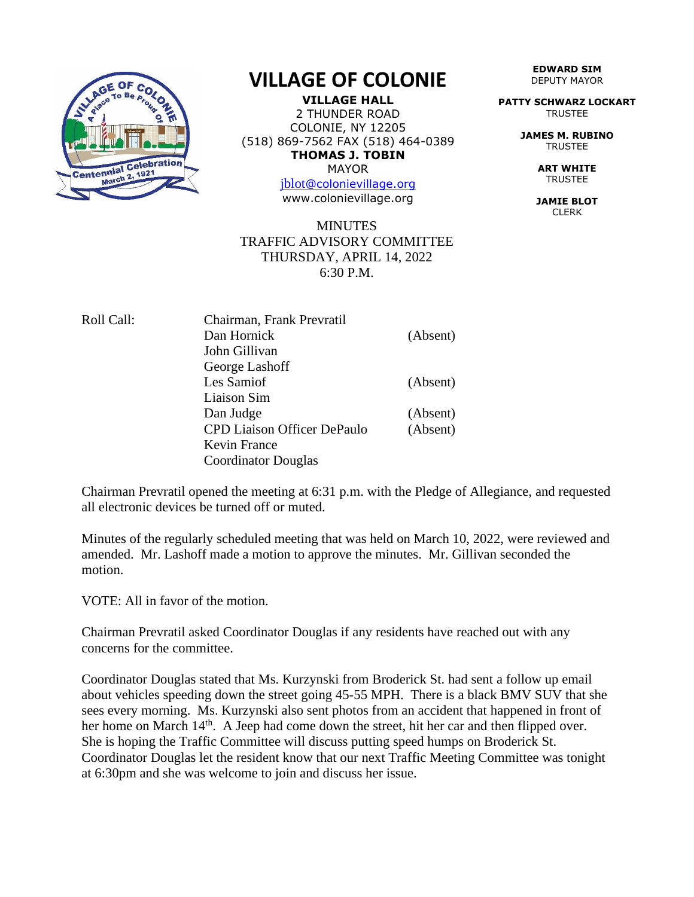

## **VILLAGE OF COLONIE**

**VILLAGE HALL** 2 THUNDER ROAD COLONIE, NY 12205 (518) 869-7562 FAX (518) 464-0389 **THOMAS J. TOBIN** MAYOR

[jblot](mailto:jblot@colonievillage.org)[@colonievillage.org](mailto:jblot@colonievillage.org) www.colonievillage.org

## **MINUTES** TRAFFIC ADVISORY COMMITTEE THURSDAY, APRIL 14, 2022 6:30 P.M.

| Roll Call: | Chairman, Frank Prevratil          |          |
|------------|------------------------------------|----------|
|            | Dan Hornick                        | (Absent) |
|            | John Gillivan                      |          |
|            | George Lashoff                     |          |
|            | Les Samiof                         | (Absent) |
|            | Liaison Sim                        |          |
|            | Dan Judge                          | (Absent) |
|            | <b>CPD Liaison Officer DePaulo</b> | (Absent) |
|            | Kevin France                       |          |
|            | Coordinator Douglas                |          |

Chairman Prevratil opened the meeting at 6:31 p.m. with the Pledge of Allegiance, and requested all electronic devices be turned off or muted.

Minutes of the regularly scheduled meeting that was held on March 10, 2022, were reviewed and amended. Mr. Lashoff made a motion to approve the minutes. Mr. Gillivan seconded the motion.

VOTE: All in favor of the motion.

Chairman Prevratil asked Coordinator Douglas if any residents have reached out with any concerns for the committee.

Coordinator Douglas stated that Ms. Kurzynski from Broderick St. had sent a follow up email about vehicles speeding down the street going 45-55 MPH. There is a black BMV SUV that she sees every morning. Ms. Kurzynski also sent photos from an accident that happened in front of her home on March 14<sup>th</sup>. A Jeep had come down the street, hit her car and then flipped over. She is hoping the Traffic Committee will discuss putting speed humps on Broderick St. Coordinator Douglas let the resident know that our next Traffic Meeting Committee was tonight at 6:30pm and she was welcome to join and discuss her issue.

**EDWARD SIM** DEPUTY MAYOR

**PATTY SCHWARZ LOCKART** TRUSTEE

> **JAMES M. RUBINO** TRUSTEE

> > **ART WHITE TRUSTEE**

**JAMIE BLOT** CLERK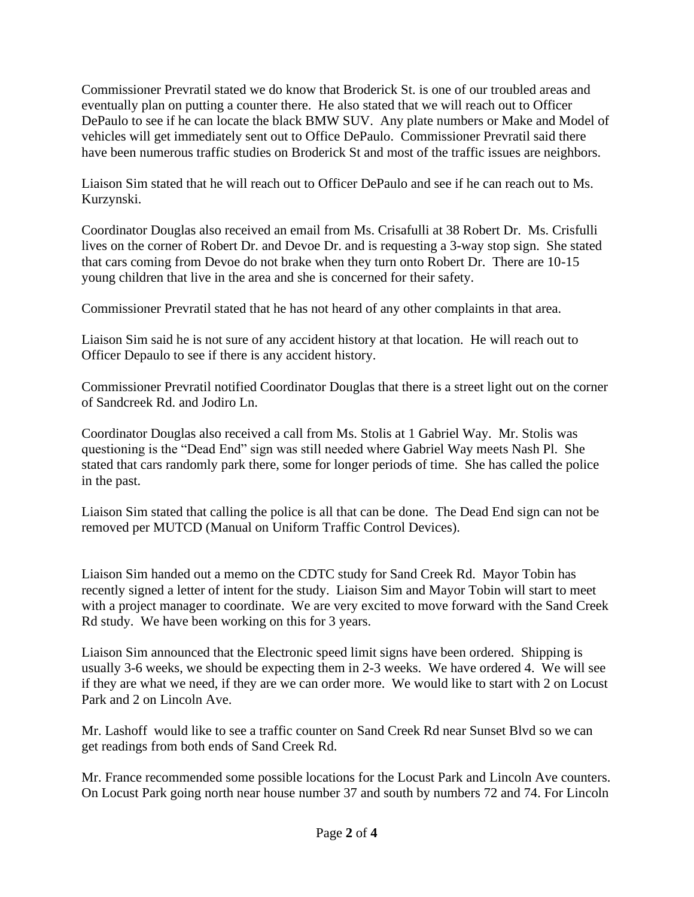Commissioner Prevratil stated we do know that Broderick St. is one of our troubled areas and eventually plan on putting a counter there. He also stated that we will reach out to Officer DePaulo to see if he can locate the black BMW SUV. Any plate numbers or Make and Model of vehicles will get immediately sent out to Office DePaulo. Commissioner Prevratil said there have been numerous traffic studies on Broderick St and most of the traffic issues are neighbors.

Liaison Sim stated that he will reach out to Officer DePaulo and see if he can reach out to Ms. Kurzynski.

Coordinator Douglas also received an email from Ms. Crisafulli at 38 Robert Dr. Ms. Crisfulli lives on the corner of Robert Dr. and Devoe Dr. and is requesting a 3-way stop sign. She stated that cars coming from Devoe do not brake when they turn onto Robert Dr. There are 10-15 young children that live in the area and she is concerned for their safety.

Commissioner Prevratil stated that he has not heard of any other complaints in that area.

Liaison Sim said he is not sure of any accident history at that location. He will reach out to Officer Depaulo to see if there is any accident history.

Commissioner Prevratil notified Coordinator Douglas that there is a street light out on the corner of Sandcreek Rd. and Jodiro Ln.

Coordinator Douglas also received a call from Ms. Stolis at 1 Gabriel Way. Mr. Stolis was questioning is the "Dead End" sign was still needed where Gabriel Way meets Nash Pl. She stated that cars randomly park there, some for longer periods of time. She has called the police in the past.

Liaison Sim stated that calling the police is all that can be done. The Dead End sign can not be removed per MUTCD (Manual on Uniform Traffic Control Devices).

Liaison Sim handed out a memo on the CDTC study for Sand Creek Rd. Mayor Tobin has recently signed a letter of intent for the study. Liaison Sim and Mayor Tobin will start to meet with a project manager to coordinate. We are very excited to move forward with the Sand Creek Rd study. We have been working on this for 3 years.

Liaison Sim announced that the Electronic speed limit signs have been ordered. Shipping is usually 3-6 weeks, we should be expecting them in 2-3 weeks. We have ordered 4. We will see if they are what we need, if they are we can order more. We would like to start with 2 on Locust Park and 2 on Lincoln Ave.

Mr. Lashoff would like to see a traffic counter on Sand Creek Rd near Sunset Blvd so we can get readings from both ends of Sand Creek Rd.

Mr. France recommended some possible locations for the Locust Park and Lincoln Ave counters. On Locust Park going north near house number 37 and south by numbers 72 and 74. For Lincoln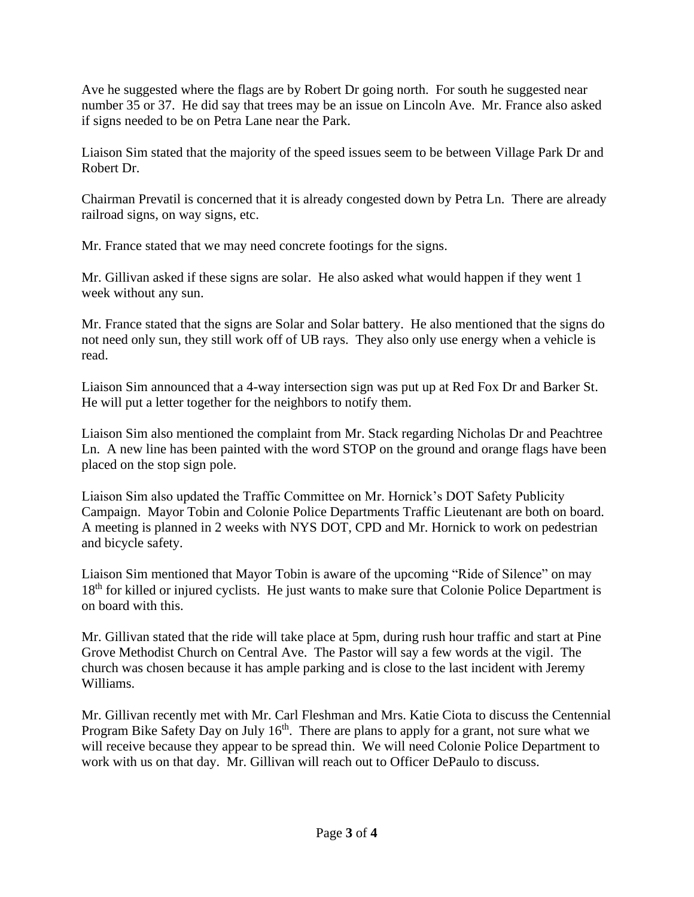Ave he suggested where the flags are by Robert Dr going north. For south he suggested near number 35 or 37. He did say that trees may be an issue on Lincoln Ave. Mr. France also asked if signs needed to be on Petra Lane near the Park.

Liaison Sim stated that the majority of the speed issues seem to be between Village Park Dr and Robert Dr.

Chairman Prevatil is concerned that it is already congested down by Petra Ln. There are already railroad signs, on way signs, etc.

Mr. France stated that we may need concrete footings for the signs.

Mr. Gillivan asked if these signs are solar. He also asked what would happen if they went 1 week without any sun.

Mr. France stated that the signs are Solar and Solar battery. He also mentioned that the signs do not need only sun, they still work off of UB rays. They also only use energy when a vehicle is read.

Liaison Sim announced that a 4-way intersection sign was put up at Red Fox Dr and Barker St. He will put a letter together for the neighbors to notify them.

Liaison Sim also mentioned the complaint from Mr. Stack regarding Nicholas Dr and Peachtree Ln. A new line has been painted with the word STOP on the ground and orange flags have been placed on the stop sign pole.

Liaison Sim also updated the Traffic Committee on Mr. Hornick's DOT Safety Publicity Campaign. Mayor Tobin and Colonie Police Departments Traffic Lieutenant are both on board. A meeting is planned in 2 weeks with NYS DOT, CPD and Mr. Hornick to work on pedestrian and bicycle safety.

Liaison Sim mentioned that Mayor Tobin is aware of the upcoming "Ride of Silence" on may 18<sup>th</sup> for killed or injured cyclists. He just wants to make sure that Colonie Police Department is on board with this.

Mr. Gillivan stated that the ride will take place at 5pm, during rush hour traffic and start at Pine Grove Methodist Church on Central Ave. The Pastor will say a few words at the vigil. The church was chosen because it has ample parking and is close to the last incident with Jeremy Williams.

Mr. Gillivan recently met with Mr. Carl Fleshman and Mrs. Katie Ciota to discuss the Centennial Program Bike Safety Day on July  $16<sup>th</sup>$ . There are plans to apply for a grant, not sure what we will receive because they appear to be spread thin. We will need Colonie Police Department to work with us on that day. Mr. Gillivan will reach out to Officer DePaulo to discuss.